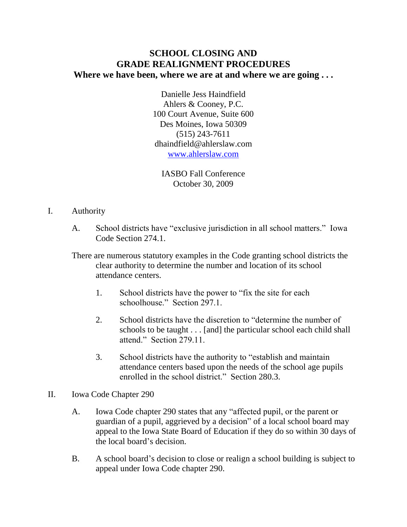## **SCHOOL CLOSING AND GRADE REALIGNMENT PROCEDURES Where we have been, where we are at and where we are going . . .**

Danielle Jess Haindfield Ahlers & Cooney, P.C. 100 Court Avenue, Suite 600 Des Moines, Iowa 50309 (515) 243-7611 dhaindfield@ahlerslaw.com [www.ahlerslaw.com](http://www.ahlerslaw.com/)

IASBO Fall Conference October 30, 2009

## I. Authority

- A. School districts have "exclusive jurisdiction in all school matters." Iowa Code Section 274.1.
- There are numerous statutory examples in the Code granting school districts the clear authority to determine the number and location of its school attendance centers.
	- 1. School districts have the power to "fix the site for each schoolhouse." Section 297.1.
	- 2. School districts have the discretion to "determine the number of schools to be taught . . . [and] the particular school each child shall attend." Section 279.11.
	- 3. School districts have the authority to "establish and maintain attendance centers based upon the needs of the school age pupils enrolled in the school district." Section 280.3.
- II. Iowa Code Chapter 290
	- A. Iowa Code chapter 290 states that any "affected pupil, or the parent or guardian of a pupil, aggrieved by a decision" of a local school board may appeal to the Iowa State Board of Education if they do so within 30 days of the local board"s decision.
	- B. A school board"s decision to close or realign a school building is subject to appeal under Iowa Code chapter 290.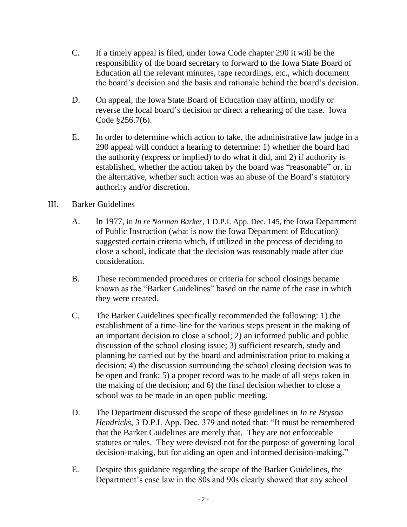- C. If a timely appeal is filed, under Iowa Code chapter 290 it will be the responsibility of the board secretary to forward to the Iowa State Board of Education all the relevant minutes, tape recordings, etc., which document the board"s decision and the basis and rationale behind the board"s decision.
- D. On appeal, the Iowa State Board of Education may affirm, modify or reverse the local board"s decision or direct a rehearing of the case. Iowa Code §256.7(6).
- E. In order to determine which action to take, the administrative law judge in a 290 appeal will conduct a hearing to determine: 1) whether the board had the authority (express or implied) to do what it did, and 2) if authority is established, whether the action taken by the board was "reasonable" or, in the alternative, whether such action was an abuse of the Board"s statutory authority and/or discretion.
- III. Barker Guidelines
	- A. In 1977, in *In re Norman Barker*, 1 D.P.I. App. Dec. 145, the Iowa Department of Public Instruction (what is now the Iowa Department of Education) suggested certain criteria which, if utilized in the process of deciding to close a school, indicate that the decision was reasonably made after due consideration.
	- B. These recommended procedures or criteria for school closings became known as the "Barker Guidelines" based on the name of the case in which they were created.
	- C. The Barker Guidelines specifically recommended the following: 1) the establishment of a time-line for the various steps present in the making of an important decision to close a school; 2) an informed public and public discussion of the school closing issue; 3) sufficient research, study and planning be carried out by the board and administration prior to making a decision; 4) the discussion surrounding the school closing decision was to be open and frank; 5) a proper record was to be made of all steps taken in the making of the decision; and 6) the final decision whether to close a school was to be made in an open public meeting.
	- D. The Department discussed the scope of these guidelines in *In re Bryson Hendricks*, 3 D.P.I. App. Dec. 379 and noted that: "It must be remembered that the Barker Guidelines are merely that. They are not enforceable statutes or rules. They were devised not for the purpose of governing local decision-making, but for aiding an open and informed decision-making."
	- E. Despite this guidance regarding the scope of the Barker Guidelines, the Department's case law in the 80s and 90s clearly showed that any school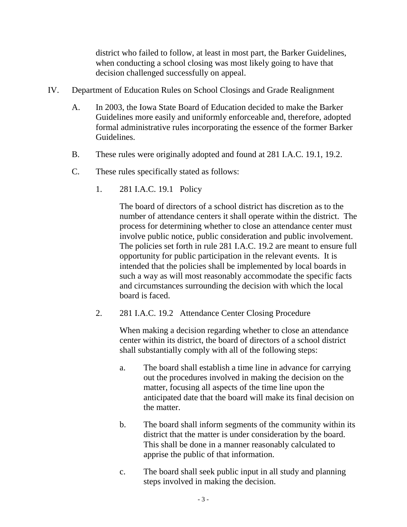district who failed to follow, at least in most part, the Barker Guidelines, when conducting a school closing was most likely going to have that decision challenged successfully on appeal.

- IV. Department of Education Rules on School Closings and Grade Realignment
	- A. In 2003, the Iowa State Board of Education decided to make the Barker Guidelines more easily and uniformly enforceable and, therefore, adopted formal administrative rules incorporating the essence of the former Barker Guidelines.
	- B. These rules were originally adopted and found at 281 I.A.C. 19.1, 19.2.
	- C. These rules specifically stated as follows:
		- 1. 281 I.A.C. 19.1 Policy

The board of directors of a school district has discretion as to the number of attendance centers it shall operate within the district. The process for determining whether to close an attendance center must involve public notice, public consideration and public involvement. The policies set forth in rule 281 I.A.C. 19.2 are meant to ensure full opportunity for public participation in the relevant events. It is intended that the policies shall be implemented by local boards in such a way as will most reasonably accommodate the specific facts and circumstances surrounding the decision with which the local board is faced.

2. 281 I.A.C. 19.2 Attendance Center Closing Procedure

When making a decision regarding whether to close an attendance center within its district, the board of directors of a school district shall substantially comply with all of the following steps:

- a. The board shall establish a time line in advance for carrying out the procedures involved in making the decision on the matter, focusing all aspects of the time line upon the anticipated date that the board will make its final decision on the matter.
- b. The board shall inform segments of the community within its district that the matter is under consideration by the board. This shall be done in a manner reasonably calculated to apprise the public of that information.
- c. The board shall seek public input in all study and planning steps involved in making the decision.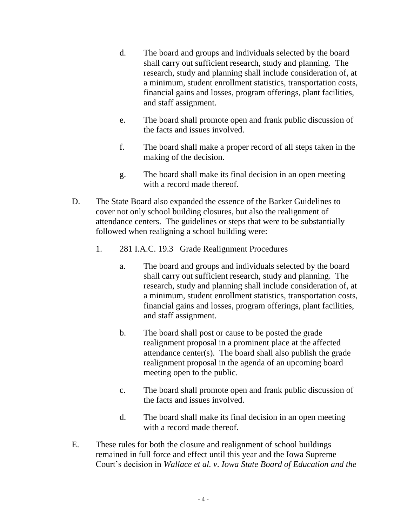- d. The board and groups and individuals selected by the board shall carry out sufficient research, study and planning. The research, study and planning shall include consideration of, at a minimum, student enrollment statistics, transportation costs, financial gains and losses, program offerings, plant facilities, and staff assignment.
- e. The board shall promote open and frank public discussion of the facts and issues involved.
- f. The board shall make a proper record of all steps taken in the making of the decision.
- g. The board shall make its final decision in an open meeting with a record made thereof.
- D. The State Board also expanded the essence of the Barker Guidelines to cover not only school building closures, but also the realignment of attendance centers. The guidelines or steps that were to be substantially followed when realigning a school building were:
	- 1. 281 I.A.C. 19.3 Grade Realignment Procedures
		- a. The board and groups and individuals selected by the board shall carry out sufficient research, study and planning. The research, study and planning shall include consideration of, at a minimum, student enrollment statistics, transportation costs, financial gains and losses, program offerings, plant facilities, and staff assignment.
		- b. The board shall post or cause to be posted the grade realignment proposal in a prominent place at the affected attendance center(s). The board shall also publish the grade realignment proposal in the agenda of an upcoming board meeting open to the public.
		- c. The board shall promote open and frank public discussion of the facts and issues involved.
		- d. The board shall make its final decision in an open meeting with a record made thereof.
- E. These rules for both the closure and realignment of school buildings remained in full force and effect until this year and the Iowa Supreme Court"s decision in *Wallace et al. v. Iowa State Board of Education and the*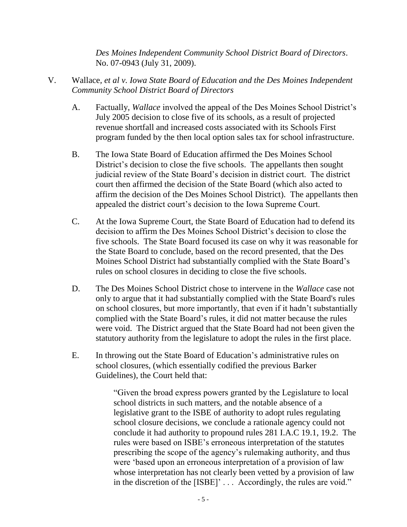*Des Moines Independent Community School District Board of Directors*. No. 07-0943 (July 31, 2009).

- V. Wallace*, et al v. Iowa State Board of Education and the Des Moines Independent Community School District Board of Directors*
	- A. Factually, *Wallace* involved the appeal of the Des Moines School District"s July 2005 decision to close five of its schools, as a result of projected revenue shortfall and increased costs associated with its Schools First program funded by the then local option sales tax for school infrastructure.
	- B. The Iowa State Board of Education affirmed the Des Moines School District's decision to close the five schools. The appellants then sought judicial review of the State Board"s decision in district court. The district court then affirmed the decision of the State Board (which also acted to affirm the decision of the Des Moines School District). The appellants then appealed the district court's decision to the Iowa Supreme Court.
	- C. At the Iowa Supreme Court, the State Board of Education had to defend its decision to affirm the Des Moines School District's decision to close the five schools. The State Board focused its case on why it was reasonable for the State Board to conclude, based on the record presented, that the Des Moines School District had substantially complied with the State Board"s rules on school closures in deciding to close the five schools.
	- D. The Des Moines School District chose to intervene in the *Wallace* case not only to argue that it had substantially complied with the State Board's rules on school closures, but more importantly, that even if it hadn"t substantially complied with the State Board"s rules, it did not matter because the rules were void. The District argued that the State Board had not been given the statutory authority from the legislature to adopt the rules in the first place.
	- E. In throwing out the State Board of Education"s administrative rules on school closures, (which essentially codified the previous Barker Guidelines), the Court held that:

"Given the broad express powers granted by the Legislature to local school districts in such matters, and the notable absence of a legislative grant to the ISBE of authority to adopt rules regulating school closure decisions, we conclude a rationale agency could not conclude it had authority to propound rules 281 I.A.C 19.1, 19.2. The rules were based on ISBE"s erroneous interpretation of the statutes prescribing the scope of the agency"s rulemaking authority, and thus were "based upon an erroneous interpretation of a provision of law whose interpretation has not clearly been vetted by a provision of law in the discretion of the [ISBE]'... Accordingly, the rules are void."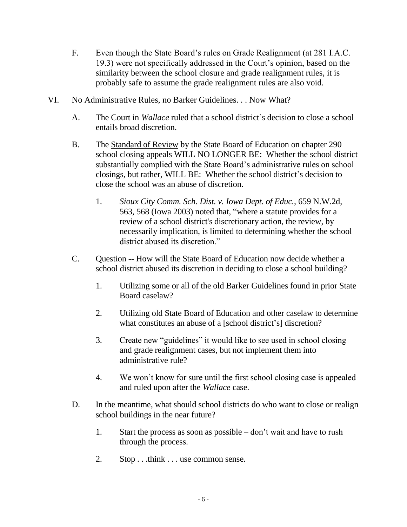- F. Even though the State Board"s rules on Grade Realignment (at 281 I.A.C. 19.3) were not specifically addressed in the Court"s opinion, based on the similarity between the school closure and grade realignment rules, it is probably safe to assume the grade realignment rules are also void.
- VI. No Administrative Rules, no Barker Guidelines. . . Now What?
	- A. The Court in *Wallace* ruled that a school district's decision to close a school entails broad discretion.
	- B. The Standard of Review by the State Board of Education on chapter 290 school closing appeals WILL NO LONGER BE: Whether the school district substantially complied with the State Board"s administrative rules on school closings, but rather, WILL BE: Whether the school district's decision to close the school was an abuse of discretion.
		- 1. *Sioux City Comm. Sch. Dist. v. Iowa Dept. of Educ.*, 659 N.W.2d, 563, 568 (Iowa 2003) noted that, "where a statute provides for a review of a school district's discretionary action, the review, by necessarily implication, is limited to determining whether the school district abused its discretion."
	- C. Question -- How will the State Board of Education now decide whether a school district abused its discretion in deciding to close a school building?
		- 1. Utilizing some or all of the old Barker Guidelines found in prior State Board caselaw?
		- 2. Utilizing old State Board of Education and other caselaw to determine what constitutes an abuse of a [school district's] discretion?
		- 3. Create new "guidelines" it would like to see used in school closing and grade realignment cases, but not implement them into administrative rule?
		- 4. We won"t know for sure until the first school closing case is appealed and ruled upon after the *Wallace* case.
	- D. In the meantime, what should school districts do who want to close or realign school buildings in the near future?
		- 1. Start the process as soon as possible don"t wait and have to rush through the process.
		- 2. Stop . . .think . . . use common sense.